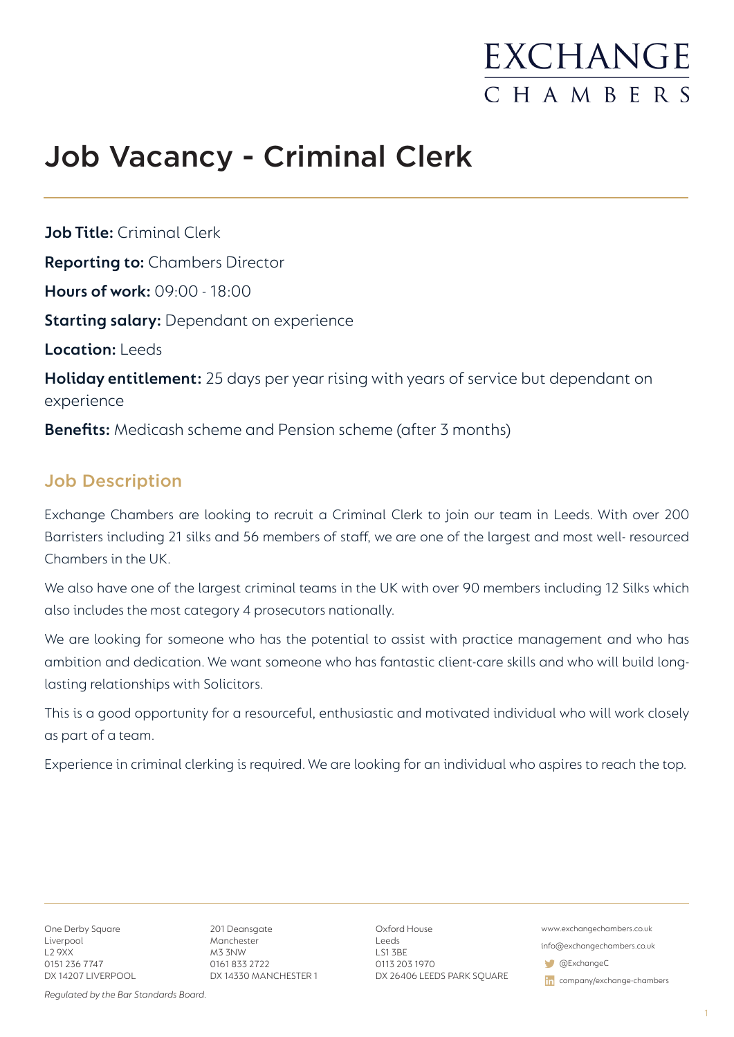## **EXCHANGE** CHAMBERS

## Job Vacancy - Criminal Clerk

**Job Title:** Criminal Clerk **Reporting to:** Chambers Director **Hours of work:** 09:00 - 18:00 **Starting salary:** Dependant on experience **Location:** Leeds **Holiday entitlement:** 25 days per year rising with years of service but dependant on experience **Benefits:** Medicash scheme and Pension scheme (after 3 months)

### Job Description

Exchange Chambers are looking to recruit a Criminal Clerk to join our team in Leeds. With over 200 Barristers including 21 silks and 56 members of staff, we are one of the largest and most well- resourced Chambers in the UK.

We also have one of the largest criminal teams in the UK with over 90 members including 12 Silks which also includes the most category 4 prosecutors nationally.

We are looking for someone who has the potential to assist with practice management and who has ambition and dedication. We want someone who has fantastic client-care skills and who will build longlasting relationships with Solicitors.

This is a good opportunity for a resourceful, enthusiastic and motivated individual who will work closely as part of a team.

Experience in criminal clerking is required. We are looking for an individual who aspires to reach the top.

One Derby Square Liverpool L2 9XX 0151 236 7747 DX 14207 LIVERPOOL

201 Deansgate Manchester M3 3NW 0161 833 2722 DX 14330 MANCHESTER 1 Oxford House Leeds LS1 3BE 0113 203 1970 DX 26406 LEEDS PARK SQUARE www.exchangechambers.co.uk

info@exchangechambers.co.uk

@ExchangeC

in company/exchange-chambers

*Regulated by the Bar Standards Board.*